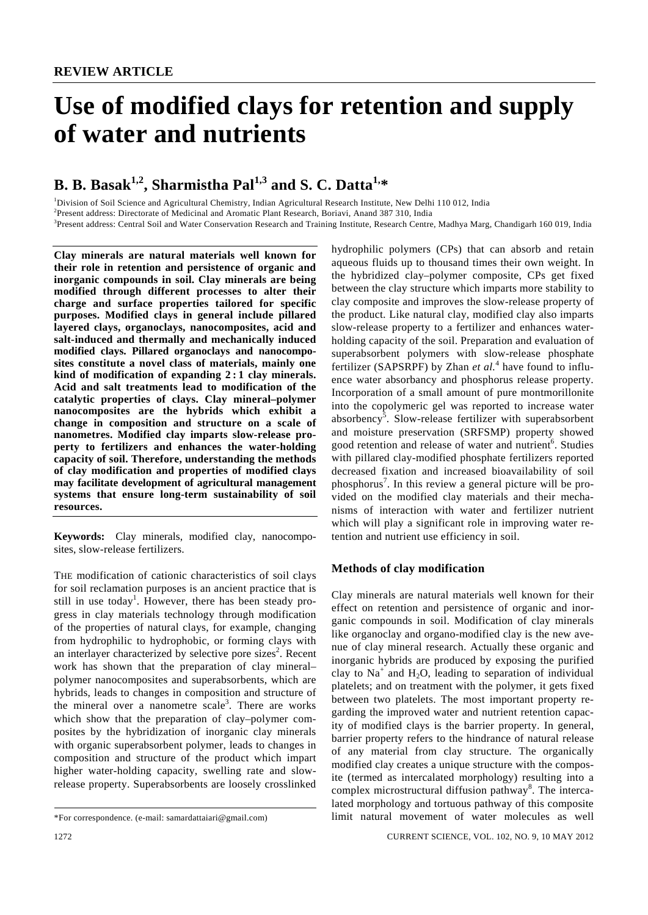# **Use of modified clays for retention and supply of water and nutrients**

# **B. B. Basak**<sup>1,2</sup>, Sharmistha Pal<sup>1,3</sup> and S. C. Datta<sup>1,\*</sup>

<sup>1</sup>Division of Soil Science and Agricultural Chemistry, Indian Agricultural Research Institute, New Delhi 110 012, India

2 Present address: Directorate of Medicinal and Aromatic Plant Research, Boriavi, Anand 387 310, India

<sup>3</sup> Present address: Central Soil and Water Conservation Research and Training Institute, Research Centre, Madhya Marg, Chandigarh 160 019, India

**Clay minerals are natural materials well known for their role in retention and persistence of organic and inorganic compounds in soil. Clay minerals are being modified through different processes to alter their charge and surface properties tailored for specific purposes. Modified clays in general include pillared layered clays, organoclays, nanocomposites, acid and salt-induced and thermally and mechanically induced modified clays. Pillared organoclays and nanocomposites constitute a novel class of materials, mainly one kind of modification of expanding 2 : 1 clay minerals. Acid and salt treatments lead to modification of the catalytic properties of clays. Clay mineral–polymer nanocomposites are the hybrids which exhibit a change in composition and structure on a scale of nanometres. Modified clay imparts slow-release property to fertilizers and enhances the water-holding capacity of soil. Therefore, understanding the methods of clay modification and properties of modified clays may facilitate development of agricultural management systems that ensure long-term sustainability of soil resources.** 

**Keywords:** Clay minerals, modified clay, nanocomposites, slow-release fertilizers.

THE modification of cationic characteristics of soil clays for soil reclamation purposes is an ancient practice that is still in use today<sup>1</sup>. However, there has been steady progress in clay materials technology through modification of the properties of natural clays, for example, changing from hydrophilic to hydrophobic, or forming clays with an interlayer characterized by selective pore sizes<sup>2</sup>. Recent work has shown that the preparation of clay mineral– polymer nanocomposites and superabsorbents, which are hybrids, leads to changes in composition and structure of the mineral over a nanometre scale<sup>3</sup>. There are works which show that the preparation of clay–polymer composites by the hybridization of inorganic clay minerals with organic superabsorbent polymer, leads to changes in composition and structure of the product which impart higher water-holding capacity, swelling rate and slowrelease property. Superabsorbents are loosely crosslinked

hydrophilic polymers (CPs) that can absorb and retain aqueous fluids up to thousand times their own weight. In the hybridized clay–polymer composite, CPs get fixed between the clay structure which imparts more stability to clay composite and improves the slow-release property of the product. Like natural clay, modified clay also imparts slow-release property to a fertilizer and enhances waterholding capacity of the soil. Preparation and evaluation of superabsorbent polymers with slow-release phosphate fertilizer (SAPSRPF) by Zhan *et al.*<sup>4</sup> have found to influence water absorbancy and phosphorus release property. Incorporation of a small amount of pure montmorillonite into the copolymeric gel was reported to increase water absorbency<sup>5</sup>. Slow-release fertilizer with superabsorbent and moisture preservation (SRFSMP) property showed good retention and release of water and nutrient<sup>6</sup>. Studies with pillared clay-modified phosphate fertilizers reported decreased fixation and increased bioavailability of soil phosphorus<sup>7</sup>. In this review a general picture will be provided on the modified clay materials and their mechanisms of interaction with water and fertilizer nutrient which will play a significant role in improving water retention and nutrient use efficiency in soil.

# **Methods of clay modification**

Clay minerals are natural materials well known for their effect on retention and persistence of organic and inorganic compounds in soil. Modification of clay minerals like organoclay and organo-modified clay is the new avenue of clay mineral research. Actually these organic and inorganic hybrids are produced by exposing the purified clay to  $Na<sup>+</sup>$  and  $H<sub>2</sub>O$ , leading to separation of individual platelets; and on treatment with the polymer, it gets fixed between two platelets. The most important property regarding the improved water and nutrient retention capacity of modified clays is the barrier property. In general, barrier property refers to the hindrance of natural release of any material from clay structure. The organically modified clay creates a unique structure with the composite (termed as intercalated morphology) resulting into a complex microstructural diffusion pathway<sup>8</sup>. The intercalated morphology and tortuous pathway of this composite limit natural movement of water molecules as well

<sup>\*</sup>For correspondence. (e-mail: samardattaiari@gmail.com)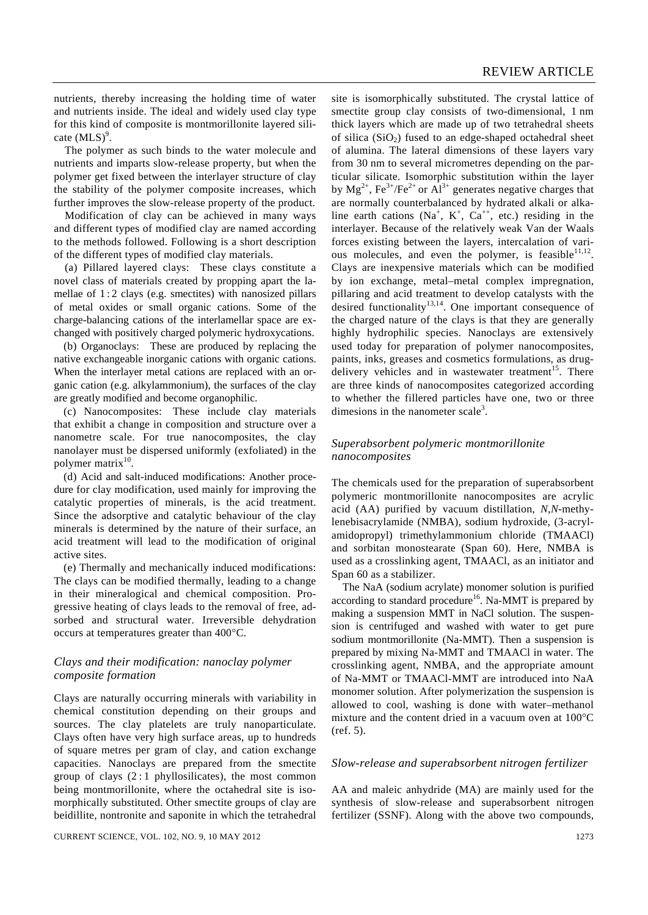nutrients, thereby increasing the holding time of water and nutrients inside. The ideal and widely used clay type for this kind of composite is montmorillonite layered silicate  $(MLS)^9$ .

 The polymer as such binds to the water molecule and nutrients and imparts slow-release property, but when the polymer get fixed between the interlayer structure of clay the stability of the polymer composite increases, which further improves the slow-release property of the product.

 Modification of clay can be achieved in many ways and different types of modified clay are named according to the methods followed. Following is a short description of the different types of modified clay materials.

 (a) Pillared layered clays: These clays constitute a novel class of materials created by propping apart the lamellae of 1:2 clays (e.g. smectites) with nanosized pillars of metal oxides or small organic cations. Some of the charge-balancing cations of the interlamellar space are exchanged with positively charged polymeric hydroxycations.

(b) Organoclays: These are produced by replacing the native exchangeable inorganic cations with organic cations. When the interlayer metal cations are replaced with an organic cation (e.g. alkylammonium), the surfaces of the clay are greatly modified and become organophilic.

(c) Nanocomposites: These include clay materials that exhibit a change in composition and structure over a nanometre scale. For true nanocomposites, the clay nanolayer must be dispersed uniformly (exfoliated) in the polymer matrix $10$ .

(d) Acid and salt-induced modifications: Another procedure for clay modification, used mainly for improving the catalytic properties of minerals, is the acid treatment. Since the adsorptive and catalytic behaviour of the clay minerals is determined by the nature of their surface, an acid treatment will lead to the modification of original active sites.

(e) Thermally and mechanically induced modifications: The clays can be modified thermally, leading to a change in their mineralogical and chemical composition. Progressive heating of clays leads to the removal of free, adsorbed and structural water. Irreversible dehydration occurs at temperatures greater than 400°C.

# *Clays and their modification: nanoclay polymer composite formation*

Clays are naturally occurring minerals with variability in chemical constitution depending on their groups and sources. The clay platelets are truly nanoparticulate. Clays often have very high surface areas, up to hundreds of square metres per gram of clay, and cation exchange capacities. Nanoclays are prepared from the smectite group of clays  $(2:1)$  phyllosilicates), the most common being montmorillonite, where the octahedral site is isomorphically substituted. Other smectite groups of clay are beidillite, nontronite and saponite in which the tetrahedral

CURRENT SCIENCE, VOL. 102, NO. 9, 10 MAY 2012 1273

site is isomorphically substituted. The crystal lattice of smectite group clay consists of two-dimensional, 1 nm thick layers which are made up of two tetrahedral sheets of silica  $(SiO<sub>2</sub>)$  fused to an edge-shaped octahedral sheet of alumina. The lateral dimensions of these layers vary from 30 nm to several micrometres depending on the particular silicate. Isomorphic substitution within the layer by  $Mg^{2+}$ , Fe<sup>3+</sup>/Fe<sup>2+</sup> or  $Al^{3+}$  generates negative charges that are normally counterbalanced by hydrated alkali or alkaline earth cations (Na<sup>+</sup>, K<sup>+</sup>, Ca<sup>++</sup>, etc.) residing in the interlayer. Because of the relatively weak Van der Waals forces existing between the layers, intercalation of various molecules, and even the polymer, is feasible $11,12$ . Clays are inexpensive materials which can be modified by ion exchange, metal–metal complex impregnation, pillaring and acid treatment to develop catalysts with the desired functionality<sup>13,14</sup>. One important consequence of the charged nature of the clays is that they are generally highly hydrophilic species. Nanoclays are extensively used today for preparation of polymer nanocomposites, paints, inks, greases and cosmetics formulations, as drugdelivery vehicles and in wastewater treatment<sup>15</sup>. There are three kinds of nanocomposites categorized according to whether the fillered particles have one, two or three dimesions in the nanometer scale<sup>3</sup>.

# *Superabsorbent polymeric montmorillonite nanocomposites*

The chemicals used for the preparation of superabsorbent polymeric montmorillonite nanocomposites are acrylic acid (AA) purified by vacuum distillation, *N*,*N*-methylenebisacrylamide (NMBA), sodium hydroxide, (3-acrylamidopropyl) trimethylammonium chloride (TMAACl) and sorbitan monostearate (Span 60). Here, NMBA is used as a crosslinking agent, TMAACl, as an initiator and Span 60 as a stabilizer.

 The NaA (sodium acrylate) monomer solution is purified according to standard procedure<sup>16</sup>. Na-MMT is prepared by making a suspension MMT in NaCl solution. The suspension is centrifuged and washed with water to get pure sodium montmorillonite (Na-MMT). Then a suspension is prepared by mixing Na-MMT and TMAACl in water. The crosslinking agent, NMBA, and the appropriate amount of Na-MMT or TMAACl-MMT are introduced into NaA monomer solution. After polymerization the suspension is allowed to cool, washing is done with water–methanol mixture and the content dried in a vacuum oven at 100°C (ref. 5).

#### *Slow-release and superabsorbent nitrogen fertilizer*

AA and maleic anhydride (MA) are mainly used for the synthesis of slow-release and superabsorbent nitrogen fertilizer (SSNF). Along with the above two compounds,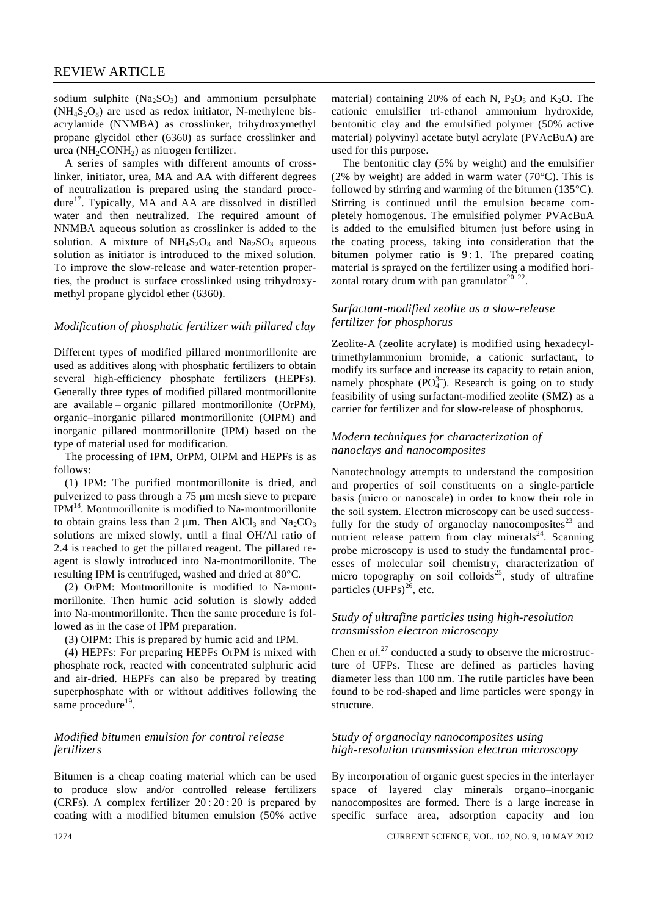sodium sulphite  $(Na_2SO_3)$  and ammonium persulphate  $(NH_4S_2O_8)$  are used as redox initiator, N-methylene bisacrylamide (NNMBA) as crosslinker, trihydroxymethyl propane glycidol ether (6360) as surface crosslinker and urea ( $NH<sub>2</sub>CONH<sub>2</sub>$ ) as nitrogen fertilizer.

 A series of samples with different amounts of crosslinker, initiator, urea, MA and AA with different degrees of neutralization is prepared using the standard procedure<sup>17</sup>. Typically, MA and AA are dissolved in distilled water and then neutralized. The required amount of NNMBA aqueous solution as crosslinker is added to the solution. A mixture of  $NH_4S_2O_8$  and  $Na_2SO_3$  aqueous solution as initiator is introduced to the mixed solution. To improve the slow-release and water-retention properties, the product is surface crosslinked using trihydroxymethyl propane glycidol ether (6360).

#### *Modification of phosphatic fertilizer with pillared clay*

Different types of modified pillared montmorillonite are used as additives along with phosphatic fertilizers to obtain several high-efficiency phosphate fertilizers (HEPFs). Generally three types of modified pillared montmorillonite are available – organic pillared montmorillonite (OrPM), organic–inorganic pillared montmorillonite (OIPM) and inorganic pillared montmorillonite (IPM) based on the type of material used for modification.

 The processing of IPM, OrPM, OIPM and HEPFs is as follows:

 (1) IPM: The purified montmorillonite is dried, and pulverized to pass through a 75 μm mesh sieve to prepare IPM18. Montmorillonite is modified to Na-montmorillonite to obtain grains less than 2  $\mu$ m. Then AlCl<sub>3</sub> and Na<sub>2</sub>CO<sub>3</sub> solutions are mixed slowly, until a final OH/Al ratio of 2.4 is reached to get the pillared reagent. The pillared reagent is slowly introduced into Na-montmorillonite. The resulting IPM is centrifuged, washed and dried at 80°C.

 (2) OrPM: Montmorillonite is modified to Na-montmorillonite. Then humic acid solution is slowly added into Na-montmorillonite. Then the same procedure is followed as in the case of IPM preparation.

(3) OIPM: This is prepared by humic acid and IPM.

 (4) HEPFs: For preparing HEPFs OrPM is mixed with phosphate rock, reacted with concentrated sulphuric acid and air-dried. HEPFs can also be prepared by treating superphosphate with or without additives following the same procedure $19$ .

# *Modified bitumen emulsion for control release fertilizers*

Bitumen is a cheap coating material which can be used to produce slow and/or controlled release fertilizers (CRFs). A complex fertilizer  $20:20:20$  is prepared by coating with a modified bitumen emulsion (50% active material) containing 20% of each N,  $P_2O_5$  and  $K_2O$ . The cationic emulsifier tri-ethanol ammonium hydroxide, bentonitic clay and the emulsified polymer (50% active material) polyvinyl acetate butyl acrylate (PVAcBuA) are used for this purpose.

 The bentonitic clay (5% by weight) and the emulsifier (2% by weight) are added in warm water (70 $^{\circ}$ C). This is followed by stirring and warming of the bitumen (135°C). Stirring is continued until the emulsion became completely homogenous. The emulsified polymer PVAcBuA is added to the emulsified bitumen just before using in the coating process, taking into consideration that the bitumen polymer ratio is  $9:1$ . The prepared coating material is sprayed on the fertilizer using a modified horizontal rotary drum with pan granulator $20-22$ .

# *Surfactant-modified zeolite as a slow-release fertilizer for phosphorus*

Zeolite-A (zeolite acrylate) is modified using hexadecyltrimethylammonium bromide, a cationic surfactant, to modify its surface and increase its capacity to retain anion, namely phosphate  $(PO<sub>4</sub><sup>3-</sup>)$ . Research is going on to study feasibility of using surfactant-modified zeolite (SMZ) as a carrier for fertilizer and for slow-release of phosphorus.

#### *Modern techniques for characterization of nanoclays and nanocomposites*

Nanotechnology attempts to understand the composition and properties of soil constituents on a single-particle basis (micro or nanoscale) in order to know their role in the soil system. Electron microscopy can be used successfully for the study of organoclay nanocomposites $^{23}$  and nutrient release pattern from clay minerals<sup>24</sup>. Scanning probe microscopy is used to study the fundamental processes of molecular soil chemistry, characterization of micro topography on soil colloids<sup>25</sup>, study of ultrafine particles  $(UFPs)^{26}$ , etc.

# *Study of ultrafine particles using high-resolution transmission electron microscopy*

Chen *et al.*<sup>27</sup> conducted a study to observe the microstructure of UFPs. These are defined as particles having diameter less than 100 nm. The rutile particles have been found to be rod-shaped and lime particles were spongy in structure.

#### *Study of organoclay nanocomposites using high-resolution transmission electron microscopy*

By incorporation of organic guest species in the interlayer space of layered clay minerals organo–inorganic nanocomposites are formed. There is a large increase in specific surface area, adsorption capacity and ion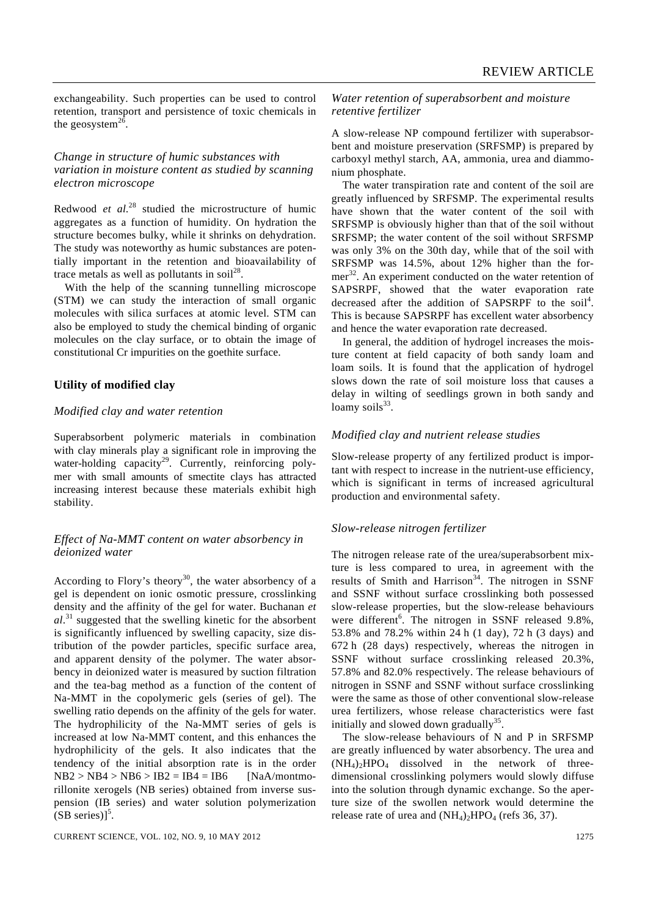exchangeability. Such properties can be used to control retention, transport and persistence of toxic chemicals in the geosystem $^{26}$ .

#### *Change in structure of humic substances with variation in moisture content as studied by scanning electron microscope*

Redwood *et al.*28 studied the microstructure of humic aggregates as a function of humidity. On hydration the structure becomes bulky, while it shrinks on dehydration. The study was noteworthy as humic substances are potentially important in the retention and bioavailability of trace metals as well as pollutants in soil<sup>28</sup>.

 With the help of the scanning tunnelling microscope (STM) we can study the interaction of small organic molecules with silica surfaces at atomic level. STM can also be employed to study the chemical binding of organic molecules on the clay surface, or to obtain the image of constitutional Cr impurities on the goethite surface.

# **Utility of modified clay**

#### *Modified clay and water retention*

Superabsorbent polymeric materials in combination with clay minerals play a significant role in improving the water-holding capacity<sup>29</sup>. Currently, reinforcing polymer with small amounts of smectite clays has attracted increasing interest because these materials exhibit high stability.

# *Effect of Na-MMT content on water absorbency in deionized water*

According to Flory's theory<sup>30</sup>, the water absorbency of a gel is dependent on ionic osmotic pressure, crosslinking density and the affinity of the gel for water. Buchanan *et al*. 31 suggested that the swelling kinetic for the absorbent is significantly influenced by swelling capacity, size distribution of the powder particles, specific surface area, and apparent density of the polymer. The water absorbency in deionized water is measured by suction filtration and the tea-bag method as a function of the content of Na-MMT in the copolymeric gels (series of gel). The swelling ratio depends on the affinity of the gels for water. The hydrophilicity of the Na-MMT series of gels is increased at low Na-MMT content, and this enhances the hydrophilicity of the gels. It also indicates that the tendency of the initial absorption rate is in the order  $NB2 > NB4 > NB6 > IB2 = IB4 = IB6$  [NaA/montmorillonite xerogels (NB series) obtained from inverse suspension (IB series) and water solution polymerization  $(SB \text{ series})$ <sup>5</sup>.

*Water retention of superabsorbent and moisture retentive fertilizer* 

A slow-release NP compound fertilizer with superabsorbent and moisture preservation (SRFSMP) is prepared by carboxyl methyl starch, AA, ammonia, urea and diammonium phosphate.

 The water transpiration rate and content of the soil are greatly influenced by SRFSMP. The experimental results have shown that the water content of the soil with SRFSMP is obviously higher than that of the soil without SRFSMP; the water content of the soil without SRFSMP was only 3% on the 30th day, while that of the soil with SRFSMP was 14.5%, about 12% higher than the former<sup>32</sup>. An experiment conducted on the water retention of SAPSRPF, showed that the water evaporation rate decreased after the addition of SAPSRPF to the soil<sup>4</sup>. This is because SAPSRPF has excellent water absorbency and hence the water evaporation rate decreased.

 In general, the addition of hydrogel increases the moisture content at field capacity of both sandy loam and loam soils. It is found that the application of hydrogel slows down the rate of soil moisture loss that causes a delay in wilting of seedlings grown in both sandy and loamy soils<sup>33</sup>.

#### *Modified clay and nutrient release studies*

Slow-release property of any fertilized product is important with respect to increase in the nutrient-use efficiency, which is significant in terms of increased agricultural production and environmental safety.

#### *Slow-release nitrogen fertilizer*

The nitrogen release rate of the urea/superabsorbent mixture is less compared to urea, in agreement with the results of Smith and Harrison<sup>34</sup>. The nitrogen in SSNF and SSNF without surface crosslinking both possessed slow-release properties, but the slow-release behaviours were different<sup>6</sup>. The nitrogen in SSNF released 9.8%, 53.8% and 78.2% within 24 h (1 day), 72 h (3 days) and 672 h (28 days) respectively, whereas the nitrogen in SSNF without surface crosslinking released 20.3%, 57.8% and 82.0% respectively. The release behaviours of nitrogen in SSNF and SSNF without surface crosslinking were the same as those of other conventional slow-release urea fertilizers, whose release characteristics were fast initially and slowed down gradually<sup>35</sup>.

 The slow-release behaviours of N and P in SRFSMP are greatly influenced by water absorbency. The urea and  $(NH_4)_2HPO_4$  dissolved in the network of threedimensional crosslinking polymers would slowly diffuse into the solution through dynamic exchange. So the aperture size of the swollen network would determine the release rate of urea and  $(NH_4)$ <sub>2</sub>HPO<sub>4</sub> (refs 36, 37).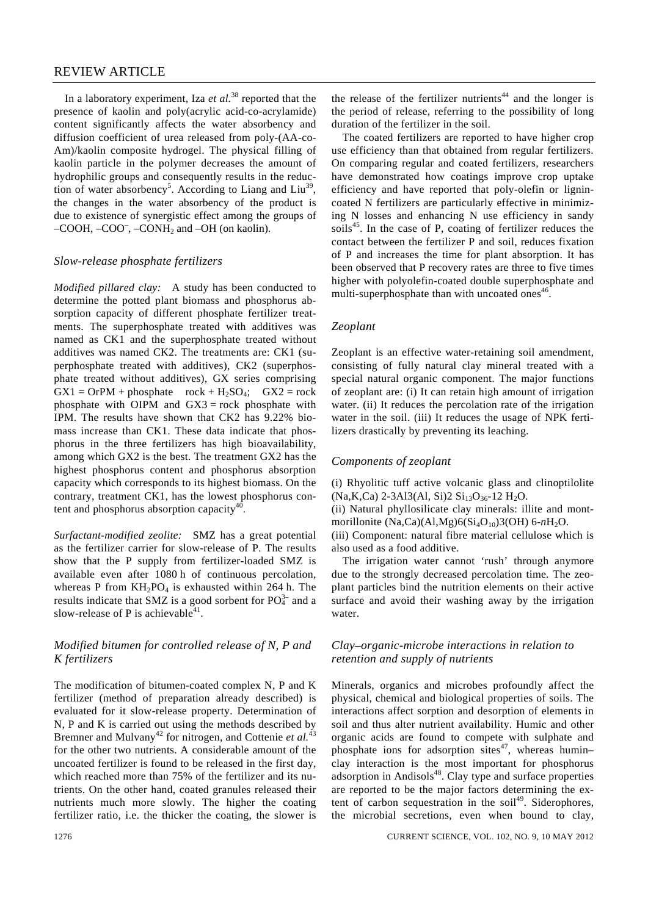# REVIEW ARTICLE

 In a laboratory experiment, Iza *et al.*38 reported that the presence of kaolin and poly(acrylic acid-co-acrylamide) content significantly affects the water absorbency and diffusion coefficient of urea released from poly-(AA-co-Am)/kaolin composite hydrogel. The physical filling of kaolin particle in the polymer decreases the amount of hydrophilic groups and consequently results in the reduction of water absorbency<sup>5</sup>. According to Liang and Liu<sup>39</sup>, the changes in the water absorbency of the product is due to existence of synergistic effect among the groups of  $-COOH$ ,  $-COO<sup>-</sup>$ ,  $-CONH<sub>2</sub>$  and  $-OH$  (on kaolin).

#### *Slow-release phosphate fertilizers*

*Modified pillared clay:* A study has been conducted to determine the potted plant biomass and phosphorus absorption capacity of different phosphate fertilizer treatments. The superphosphate treated with additives was named as CK1 and the superphosphate treated without additives was named CK2. The treatments are: CK1 (superphosphate treated with additives), CK2 (superphosphate treated without additives), GX series comprising  $GX1 = OrPM + phosphate$   $rock + H<sub>2</sub>SO<sub>4</sub>;$   $GX2 = rock$ phosphate with OIPM and  $GX3 = rock$  phosphate with IPM. The results have shown that CK2 has 9.22% biomass increase than CK1. These data indicate that phosphorus in the three fertilizers has high bioavailability, among which GX2 is the best. The treatment GX2 has the highest phosphorus content and phosphorus absorption capacity which corresponds to its highest biomass. On the contrary, treatment CK1, has the lowest phosphorus content and phosphorus absorption capacity<sup>40</sup>.

*Surfactant-modified zeolite:* SMZ has a great potential as the fertilizer carrier for slow-release of P. The results show that the P supply from fertilizer-loaded SMZ is available even after 1080 h of continuous percolation, whereas P from  $KH_2PO_4$  is exhausted within 264 h. The results indicate that SMZ is a good sorbent for  $PO_4^{3-}$  and a slow-release of P is achievable<sup>41</sup>.

# *Modified bitumen for controlled release of N, P and K fertilizers*

The modification of bitumen-coated complex N, P and K fertilizer (method of preparation already described) is evaluated for it slow-release property. Determination of N, P and K is carried out using the methods described by Bremner and Mulvany<sup>42</sup> for nitrogen, and Cottenie et al.<sup>43</sup> for the other two nutrients. A considerable amount of the uncoated fertilizer is found to be released in the first day, which reached more than 75% of the fertilizer and its nutrients. On the other hand, coated granules released their nutrients much more slowly. The higher the coating fertilizer ratio, i.e. the thicker the coating, the slower is

the release of the fertilizer nutrients<sup>44</sup> and the longer is the period of release, referring to the possibility of long duration of the fertilizer in the soil.

 The coated fertilizers are reported to have higher crop use efficiency than that obtained from regular fertilizers. On comparing regular and coated fertilizers, researchers have demonstrated how coatings improve crop uptake efficiency and have reported that poly-olefin or lignincoated N fertilizers are particularly effective in minimizing N losses and enhancing N use efficiency in sandy soils<sup>45</sup>. In the case of P, coating of fertilizer reduces the contact between the fertilizer P and soil, reduces fixation of P and increases the time for plant absorption. It has been observed that P recovery rates are three to five times higher with polyolefin-coated double superphosphate and multi-superphosphate than with uncoated ones $46$ .

#### *Zeoplant*

Zeoplant is an effective water-retaining soil amendment, consisting of fully natural clay mineral treated with a special natural organic component. The major functions of zeoplant are: (i) It can retain high amount of irrigation water. (ii) It reduces the percolation rate of the irrigation water in the soil. (iii) It reduces the usage of NPK fertilizers drastically by preventing its leaching.

# *Components of zeoplant*

(i) Rhyolitic tuff active volcanic glass and clinoptilolite  $(Na,K,Ca)$  2-3Al3(Al, Si)2  $Si<sub>13</sub>O<sub>36</sub>$ -12 H<sub>2</sub>O.

(ii) Natural phyllosilicate clay minerals: illite and montmorillonite (Na,Ca)(Al,Mg)6(Si<sub>4</sub>O<sub>10</sub>)3(OH) 6-nH<sub>2</sub>O.

(iii) Component: natural fibre material cellulose which is also used as a food additive.

 The irrigation water cannot 'rush' through anymore due to the strongly decreased percolation time. The zeoplant particles bind the nutrition elements on their active surface and avoid their washing away by the irrigation water.

# *Clay–organic-microbe interactions in relation to retention and supply of nutrients*

Minerals, organics and microbes profoundly affect the physical, chemical and biological properties of soils. The interactions affect sorption and desorption of elements in soil and thus alter nutrient availability. Humic and other organic acids are found to compete with sulphate and phosphate ions for adsorption sites $47$ , whereas humin– clay interaction is the most important for phosphorus adsorption in Andisols<sup>48</sup>. Clay type and surface properties are reported to be the major factors determining the extent of carbon sequestration in the soil<sup>49</sup>. Siderophores, the microbial secretions, even when bound to clay,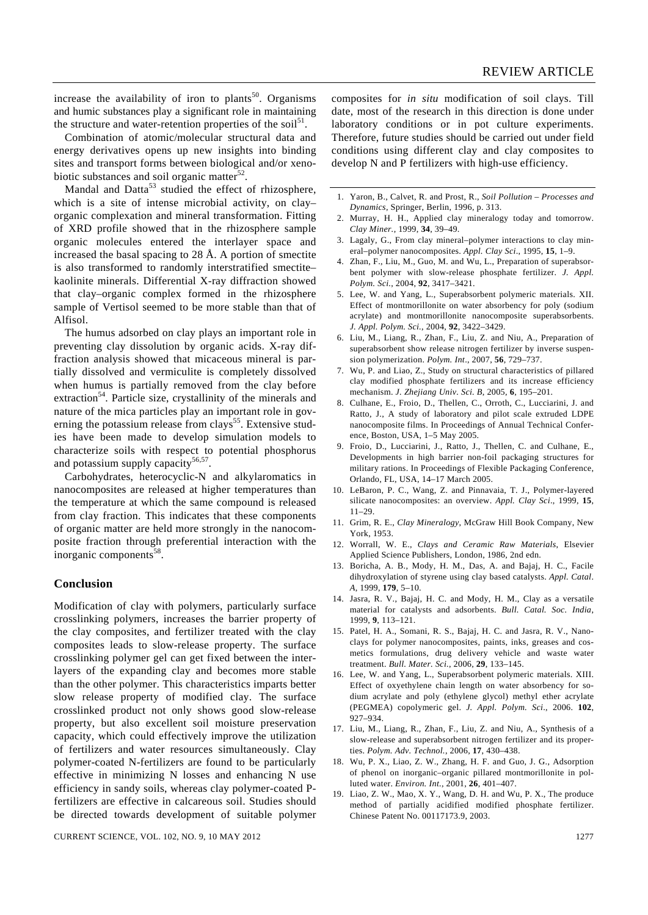increase the availability of iron to plants<sup>50</sup>. Organisms and humic substances play a significant role in maintaining the structure and water-retention properties of the soil<sup>51</sup>.

 Combination of atomic/molecular structural data and energy derivatives opens up new insights into binding sites and transport forms between biological and/or xenobiotic substances and soil organic matter $52$ .

Mandal and  $\text{Data}^{53}$  studied the effect of rhizosphere, which is a site of intense microbial activity, on clay– organic complexation and mineral transformation. Fitting of XRD profile showed that in the rhizosphere sample organic molecules entered the interlayer space and increased the basal spacing to 28 Å. A portion of smectite is also transformed to randomly interstratified smectite– kaolinite minerals. Differential X-ray diffraction showed that clay–organic complex formed in the rhizosphere sample of Vertisol seemed to be more stable than that of Alfisol.

 The humus adsorbed on clay plays an important role in preventing clay dissolution by organic acids. X-ray diffraction analysis showed that micaceous mineral is partially dissolved and vermiculite is completely dissolved when humus is partially removed from the clay before extraction<sup>54</sup>. Particle size, crystallinity of the minerals and nature of the mica particles play an important role in governing the potassium release from  $\text{clays}^{55}$ . Extensive studies have been made to develop simulation models to characterize soils with respect to potential phosphorus and potassium supply capacity<sup>56,57</sup>.

 Carbohydrates, heterocyclic-N and alkylaromatics in nanocomposites are released at higher temperatures than the temperature at which the same compound is released from clay fraction. This indicates that these components of organic matter are held more strongly in the nanocomposite fraction through preferential interaction with the inorganic components<sup>58</sup>.

#### **Conclusion**

Modification of clay with polymers, particularly surface crosslinking polymers, increases the barrier property of the clay composites, and fertilizer treated with the clay composites leads to slow-release property. The surface crosslinking polymer gel can get fixed between the interlayers of the expanding clay and becomes more stable than the other polymer. This characteristics imparts better slow release property of modified clay. The surface crosslinked product not only shows good slow-release property, but also excellent soil moisture preservation capacity, which could effectively improve the utilization of fertilizers and water resources simultaneously. Clay polymer-coated N-fertilizers are found to be particularly effective in minimizing N losses and enhancing N use efficiency in sandy soils, whereas clay polymer-coated Pfertilizers are effective in calcareous soil. Studies should be directed towards development of suitable polymer

CURRENT SCIENCE, VOL. 102, NO. 9, 10 MAY 2012 1277

composites for *in situ* modification of soil clays. Till date, most of the research in this direction is done under laboratory conditions or in pot culture experiments. Therefore, future studies should be carried out under field conditions using different clay and clay composites to develop N and P fertilizers with high-use efficiency.

- 1. Yaron, B., Calvet, R. and Prost, R., *Soil Pollution Processes and Dynamics*, Springer, Berlin, 1996, p. 313.
- 2. Murray, H. H., Applied clay mineralogy today and tomorrow. *Clay Miner.*, 1999, **34**, 39–49.
- 3. Lagaly, G., From clay mineral–polymer interactions to clay mineral–polymer nanocomposites. *Appl. Clay Sci*., 1995, **15**, 1–9.
- 4. Zhan, F., Liu, M., Guo, M. and Wu, L., Preparation of superabsorbent polymer with slow-release phosphate fertilizer. *J. Appl. Polym. Sci.*, 2004, **92**, 3417–3421.
- 5. Lee, W. and Yang, L., Superabsorbent polymeric materials. XII. Effect of montmorillonite on water absorbency for poly (sodium acrylate) and montmorillonite nanocomposite superabsorbents. *J. Appl. Polym. Sci.*, 2004, **92**, 3422–3429.
- 6. Liu, M., Liang, R., Zhan, F., Liu, Z. and Niu, A., Preparation of superabsorbent show release nitrogen fertilizer by inverse suspension polymerization. *Polym. Int*., 2007, **56**, 729–737.
- 7. Wu, P. and Liao, Z., Study on structural characteristics of pillared clay modified phosphate fertilizers and its increase efficiency mechanism. *J. Zhejiang Univ. Sci. B*, 2005, **6**, 195–201.
- 8. Culhane, E., Froio, D., Thellen, C., Orroth, C., Lucciarini, J. and Ratto, J., A study of laboratory and pilot scale extruded LDPE nanocomposite films. In Proceedings of Annual Technical Conference, Boston, USA, 1–5 May 2005.
- 9. Froio, D., Lucciarini, J., Ratto, J., Thellen, C. and Culhane, E., Developments in high barrier non-foil packaging structures for military rations. In Proceedings of Flexible Packaging Conference, Orlando, FL, USA, 14–17 March 2005.
- 10. LeBaron, P. C., Wang, Z. and Pinnavaia, T. J., Polymer-layered silicate nanocomposites: an overview. *Appl. Clay Sci*., 1999, **15**, 11–29.
- 11. Grim, R. E., *Clay Mineralogy*, McGraw Hill Book Company, New York, 1953.
- 12. Worrall, W. E., *Clays and Ceramic Raw Materials*, Elsevier Applied Science Publishers, London, 1986, 2nd edn.
- 13. Boricha, A. B., Mody, H. M., Das, A. and Bajaj, H. C., Facile dihydroxylation of styrene using clay based catalysts. *Appl. Catal*. *A*, 1999, **179**, 5–10.
- 14. Jasra, R. V., Bajaj, H. C. and Mody, H. M., Clay as a versatile material for catalysts and adsorbents. *Bull. Catal. Soc. India*, 1999, **9**, 113–121.
- 15. Patel, H. A., Somani, R. S., Bajaj, H. C. and Jasra, R. V., Nanoclays for polymer nanocomposites, paints, inks, greases and cosmetics formulations, drug delivery vehicle and waste water treatment. *Bull. Mater. Sci.*, 2006, **29**, 133–145.
- 16. Lee, W. and Yang, L., Superabsorbent polymeric materials. XIII. Effect of oxyethylene chain length on water absorbency for sodium acrylate and poly (ethylene glycol) methyl ether acrylate (PEGMEA) copolymeric gel. *J. Appl. Polym. Sci*., 2006. **102**, 927–934.
- 17. Liu, M., Liang, R., Zhan, F., Liu, Z. and Niu, A., Synthesis of a slow-release and superabsorbent nitrogen fertilizer and its properties. *Polym. Adv. Technol.*, 2006, **17**, 430–438.
- 18. Wu, P. X., Liao, Z. W., Zhang, H. F. and Guo, J. G., Adsorption of phenol on inorganic–organic pillared montmorillonite in polluted water. *Environ. Int.*, 2001, **26**, 401–407.
- 19. Liao, Z. W., Mao, X. Y., Wang, D. H. and Wu, P. X., The produce method of partially acidified modified phosphate fertilizer. Chinese Patent No. 00117173.9, 2003.